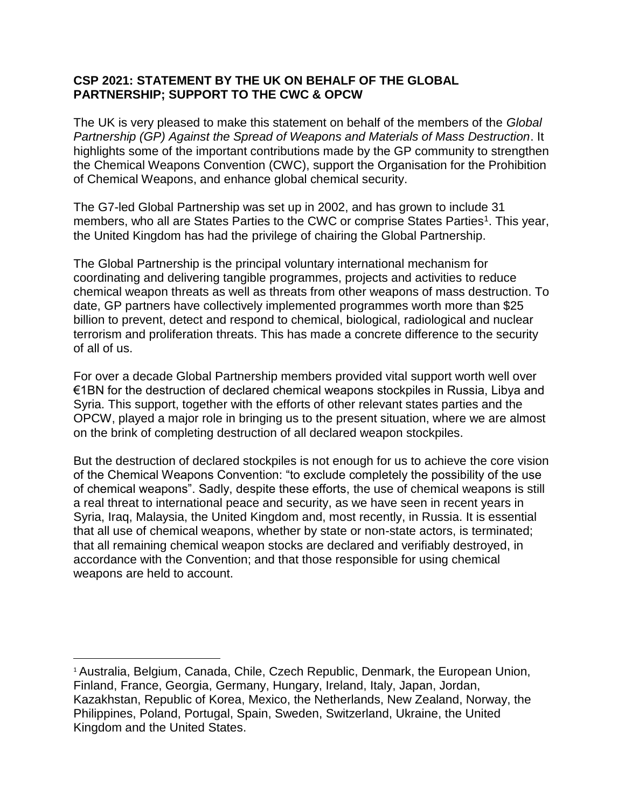## **CSP 2021: STATEMENT BY THE UK ON BEHALF OF THE GLOBAL PARTNERSHIP; SUPPORT TO THE CWC & OPCW**

The UK is very pleased to make this statement on behalf of the members of the *Global Partnership (GP) Against the Spread of Weapons and Materials of Mass Destruction*. It highlights some of the important contributions made by the GP community to strengthen the Chemical Weapons Convention (CWC), support the Organisation for the Prohibition of Chemical Weapons, and enhance global chemical security.

The G7-led Global Partnership was set up in 2002, and has grown to include 31 members, who all are States Parties to the CWC or comprise States Parties<sup>1</sup>. This year, the United Kingdom has had the privilege of chairing the Global Partnership.

The Global Partnership is the principal voluntary international mechanism for coordinating and delivering tangible programmes, projects and activities to reduce chemical weapon threats as well as threats from other weapons of mass destruction. To date, GP partners have collectively implemented programmes worth more than \$25 billion to prevent, detect and respond to chemical, biological, radiological and nuclear terrorism and proliferation threats. This has made a concrete difference to the security of all of us.

For over a decade Global Partnership members provided vital support worth well over €1BN for the destruction of declared chemical weapons stockpiles in Russia, Libya and Syria. This support, together with the efforts of other relevant states parties and the OPCW, played a major role in bringing us to the present situation, where we are almost on the brink of completing destruction of all declared weapon stockpiles.

But the destruction of declared stockpiles is not enough for us to achieve the core vision of the Chemical Weapons Convention: "to exclude completely the possibility of the use of chemical weapons". Sadly, despite these efforts, the use of chemical weapons is still a real threat to international peace and security, as we have seen in recent years in Syria, Iraq, Malaysia, the United Kingdom and, most recently, in Russia. It is essential that all use of chemical weapons, whether by state or non-state actors, is terminated; that all remaining chemical weapon stocks are declared and verifiably destroyed, in accordance with the Convention; and that those responsible for using chemical weapons are held to account.

l

<sup>&</sup>lt;sup>1</sup> Australia, Belgium, Canada, Chile, Czech Republic, Denmark, the European Union, Finland, France, Georgia, Germany, Hungary, Ireland, Italy, Japan, Jordan, Kazakhstan, Republic of Korea, Mexico, the Netherlands, New Zealand, Norway, the Philippines, Poland, Portugal, Spain, Sweden, Switzerland, Ukraine, the United Kingdom and the United States.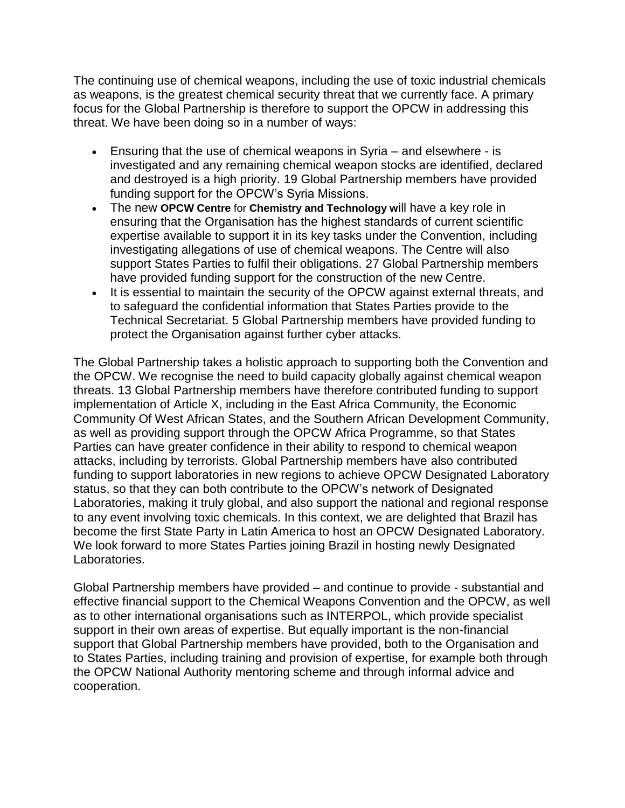The continuing use of chemical weapons, including the use of toxic industrial chemicals as weapons, is the greatest chemical security threat that we currently face. A primary focus for the Global Partnership is therefore to support the OPCW in addressing this threat. We have been doing so in a number of ways:

- Ensuring that the use of chemical weapons in Syria and elsewhere is investigated and any remaining chemical weapon stocks are identified, declared and destroyed is a high priority. 19 Global Partnership members have provided funding support for the OPCW's Syria Missions.
- The new **OPCW Centre** for **Chemistry and Technology w**ill have a key role in ensuring that the Organisation has the highest standards of current scientific expertise available to support it in its key tasks under the Convention, including investigating allegations of use of chemical weapons. The Centre will also support States Parties to fulfil their obligations. 27 Global Partnership members have provided funding support for the construction of the new Centre.
- It is essential to maintain the security of the OPCW against external threats, and to safeguard the confidential information that States Parties provide to the Technical Secretariat. 5 Global Partnership members have provided funding to protect the Organisation against further cyber attacks.

The Global Partnership takes a holistic approach to supporting both the Convention and the OPCW. We recognise the need to build capacity globally against chemical weapon threats. 13 Global Partnership members have therefore contributed funding to support implementation of Article X, including in the East Africa Community, the Economic Community Of West African States, and the Southern African Development Community, as well as providing support through the OPCW Africa Programme, so that States Parties can have greater confidence in their ability to respond to chemical weapon attacks, including by terrorists. Global Partnership members have also contributed funding to support laboratories in new regions to achieve OPCW Designated Laboratory status, so that they can both contribute to the OPCW's network of Designated Laboratories, making it truly global, and also support the national and regional response to any event involving toxic chemicals. In this context, we are delighted that Brazil has become the first State Party in Latin America to host an OPCW Designated Laboratory. We look forward to more States Parties joining Brazil in hosting newly Designated Laboratories.

Global Partnership members have provided – and continue to provide - substantial and effective financial support to the Chemical Weapons Convention and the OPCW, as well as to other international organisations such as INTERPOL, which provide specialist support in their own areas of expertise. But equally important is the non-financial support that Global Partnership members have provided, both to the Organisation and to States Parties, including training and provision of expertise, for example both through the OPCW National Authority mentoring scheme and through informal advice and cooperation.